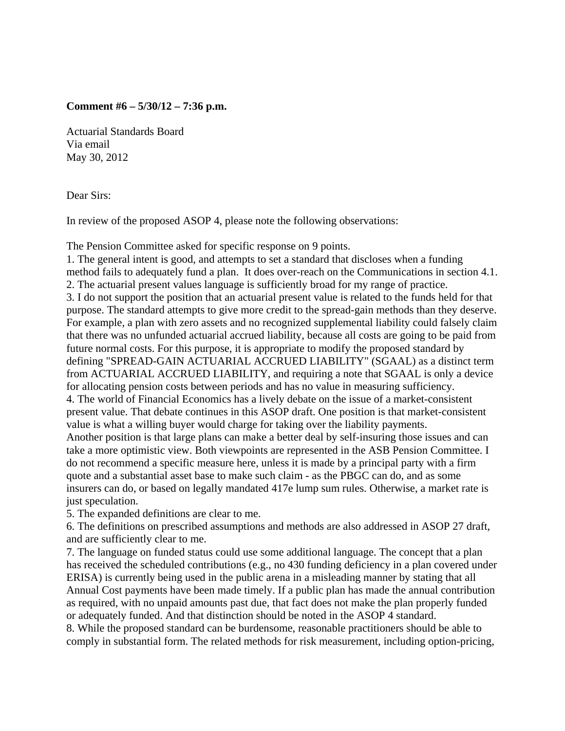## **Comment #6 – 5/30/12 – 7:36 p.m.**

Actuarial Standards Board Via email May 30, 2012

Dear Sirs:

In review of the proposed ASOP 4, please note the following observations:

The Pension Committee asked for specific response on 9 points.

1. The general intent is good, and attempts to set a standard that discloses when a funding method fails to adequately fund a plan. It does over-reach on the Communications in section 4.1. 2. The actuarial present values language is sufficiently broad for my range of practice. 3. I do not support the position that an actuarial present value is related to the funds held for that purpose. The standard attempts to give more credit to the spread-gain methods than they deserve. For example, a plan with zero assets and no recognized supplemental liability could falsely claim that there was no unfunded actuarial accrued liability, because all costs are going to be paid from future normal costs. For this purpose, it is appropriate to modify the proposed standard by defining "SPREAD-GAIN ACTUARIAL ACCRUED LIABILITY" (SGAAL) as a distinct term from ACTUARIAL ACCRUED LIABILITY, and requiring a note that SGAAL is only a device for allocating pension costs between periods and has no value in measuring sufficiency. 4. The world of Financial Economics has a lively debate on the issue of a market-consistent present value. That debate continues in this ASOP draft. One position is that market-consistent value is what a willing buyer would charge for taking over the liability payments. Another position is that large plans can make a better deal by self-insuring those issues and can take a more optimistic view. Both viewpoints are represented in the ASB Pension Committee. I do not recommend a specific measure here, unless it is made by a principal party with a firm quote and a substantial asset base to make such claim - as the PBGC can do, and as some insurers can do, or based on legally mandated 417e lump sum rules. Otherwise, a market rate is just speculation.

5. The expanded definitions are clear to me.

6. The definitions on prescribed assumptions and methods are also addressed in ASOP 27 draft, and are sufficiently clear to me.

7. The language on funded status could use some additional language. The concept that a plan has received the scheduled contributions (e.g., no 430 funding deficiency in a plan covered under ERISA) is currently being used in the public arena in a misleading manner by stating that all Annual Cost payments have been made timely. If a public plan has made the annual contribution as required, with no unpaid amounts past due, that fact does not make the plan properly funded or adequately funded. And that distinction should be noted in the ASOP 4 standard.

8. While the proposed standard can be burdensome, reasonable practitioners should be able to comply in substantial form. The related methods for risk measurement, including option-pricing,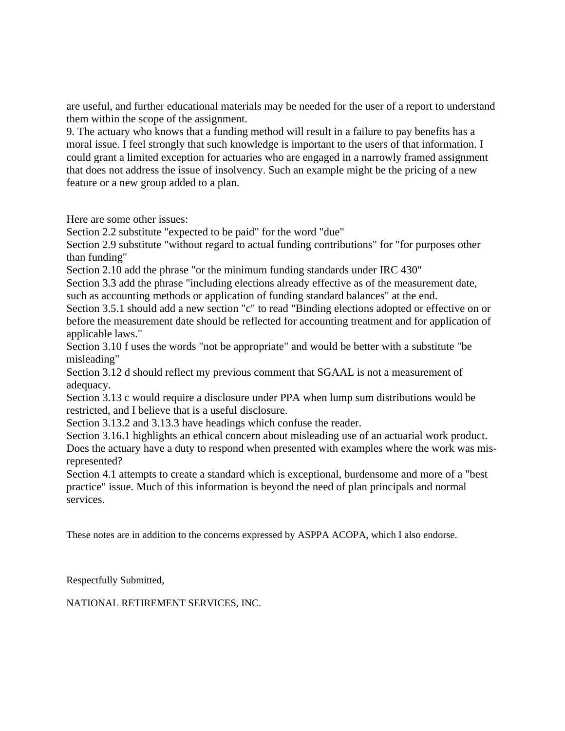are useful, and further educational materials may be needed for the user of a report to understand them within the scope of the assignment.

9. The actuary who knows that a funding method will result in a failure to pay benefits has a moral issue. I feel strongly that such knowledge is important to the users of that information. I could grant a limited exception for actuaries who are engaged in a narrowly framed assignment that does not address the issue of insolvency. Such an example might be the pricing of a new feature or a new group added to a plan.

Here are some other issues:

Section 2.2 substitute "expected to be paid" for the word "due"

Section 2.9 substitute "without regard to actual funding contributions" for "for purposes other than funding"

Section 2.10 add the phrase "or the minimum funding standards under IRC 430"

Section 3.3 add the phrase "including elections already effective as of the measurement date, such as accounting methods or application of funding standard balances" at the end.

Section 3.5.1 should add a new section "c" to read "Binding elections adopted or effective on or before the measurement date should be reflected for accounting treatment and for application of applicable laws."

Section 3.10 f uses the words "not be appropriate" and would be better with a substitute "be misleading"

Section 3.12 d should reflect my previous comment that SGAAL is not a measurement of adequacy.

Section 3.13 c would require a disclosure under PPA when lump sum distributions would be restricted, and I believe that is a useful disclosure.

Section 3.13.2 and 3.13.3 have headings which confuse the reader.

Section 3.16.1 highlights an ethical concern about misleading use of an actuarial work product. Does the actuary have a duty to respond when presented with examples where the work was misrepresented?

Section 4.1 attempts to create a standard which is exceptional, burdensome and more of a "best practice" issue. Much of this information is beyond the need of plan principals and normal services.

These notes are in addition to the concerns expressed by ASPPA ACOPA, which I also endorse.

Respectfully Submitted,

NATIONAL RETIREMENT SERVICES, INC.